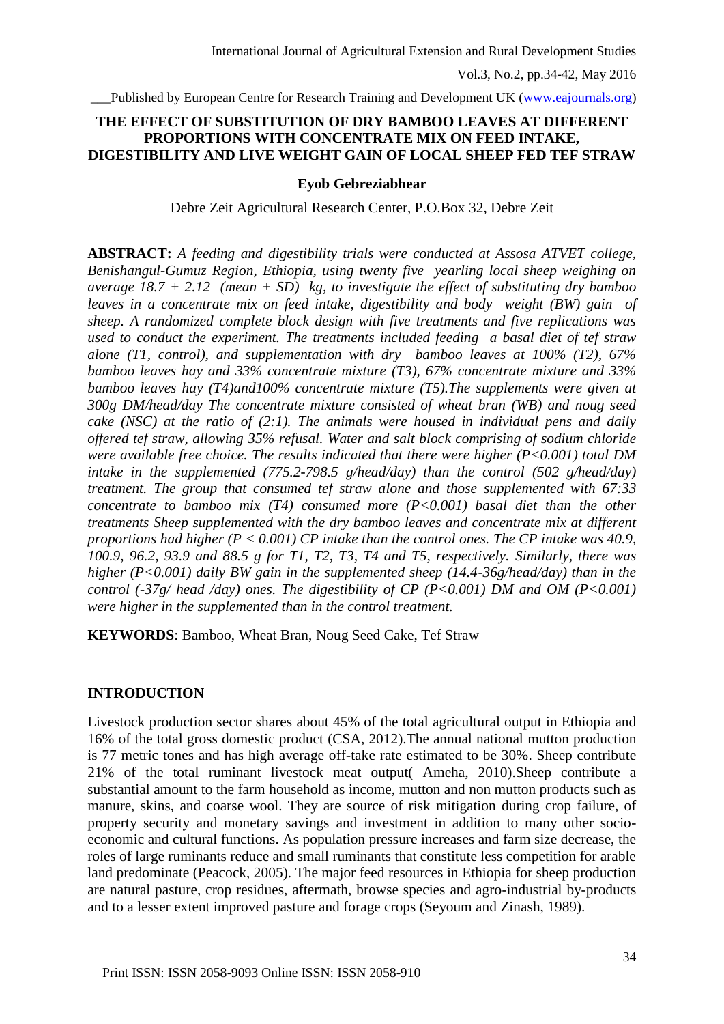## **THE EFFECT OF SUBSTITUTION OF DRY BAMBOO LEAVES AT DIFFERENT PROPORTIONS WITH CONCENTRATE MIX ON FEED INTAKE, DIGESTIBILITY AND LIVE WEIGHT GAIN OF LOCAL SHEEP FED TEF STRAW**

#### **Eyob Gebreziabhear**

Debre Zeit Agricultural Research Center, P.O.Box 32, Debre Zeit

**ABSTRACT:** *A feeding and digestibility trials were conducted at Assosa ATVET college, Benishangul-Gumuz Region, Ethiopia, using twenty five yearling local sheep weighing on average 18.7 + 2.12 (mean + SD) kg, to investigate the effect of substituting dry bamboo leaves in a concentrate mix on feed intake, digestibility and body weight (BW) gain of sheep. A randomized complete block design with five treatments and five replications was used to conduct the experiment. The treatments included feeding a basal diet of tef straw alone (T1, control), and supplementation with dry bamboo leaves at 100% (T2), 67% bamboo leaves hay and 33% concentrate mixture (T3), 67% concentrate mixture and 33% bamboo leaves hay (T4)and100% concentrate mixture (T5).The supplements were given at 300g DM/head/day The concentrate mixture consisted of wheat bran (WB) and noug seed cake (NSC) at the ratio of (2:1). The animals were housed in individual pens and daily offered tef straw, allowing 35% refusal. Water and salt block comprising of sodium chloride were available free choice. The results indicated that there were higher (P<0.001) total DM intake in the supplemented (775.2-798.5 g/head/day) than the control (502 g/head/day) treatment. The group that consumed tef straw alone and those supplemented with 67:33 concentrate to bamboo mix (T4) consumed more (P<0.001) basal diet than the other treatments Sheep supplemented with the dry bamboo leaves and concentrate mix at different proportions had higher (P < 0.001) CP intake than the control ones. The CP intake was 40.9, 100.9, 96.2, 93.9 and 88.5 g for T1, T2, T3, T4 and T5, respectively. Similarly, there was higher (P<0.001) daily BW gain in the supplemented sheep (14.4-36g/head/day) than in the control (-37g/ head /day) ones. The digestibility of CP (P<0.001) DM and OM (P<0.001) were higher in the supplemented than in the control treatment.*

**KEYWORDS**: Bamboo, Wheat Bran, Noug Seed Cake, Tef Straw

## **INTRODUCTION**

Livestock production sector shares about 45% of the total agricultural output in Ethiopia and 16% of the total gross domestic product (CSA, 2012).The annual national mutton production is 77 metric tones and has high average off-take rate estimated to be 30%. Sheep contribute 21% of the total ruminant livestock meat output( Ameha, 2010).Sheep contribute a substantial amount to the farm household as income, mutton and non mutton products such as manure, skins, and coarse wool. They are source of risk mitigation during crop failure, of property security and monetary savings and investment in addition to many other socioeconomic and cultural functions. As population pressure increases and farm size decrease, the roles of large ruminants reduce and small ruminants that constitute less competition for arable land predominate (Peacock, 2005). The major feed resources in Ethiopia for sheep production are natural pasture, crop residues, aftermath, browse species and agro-industrial by-products and to a lesser extent improved pasture and forage crops (Seyoum and Zinash, 1989).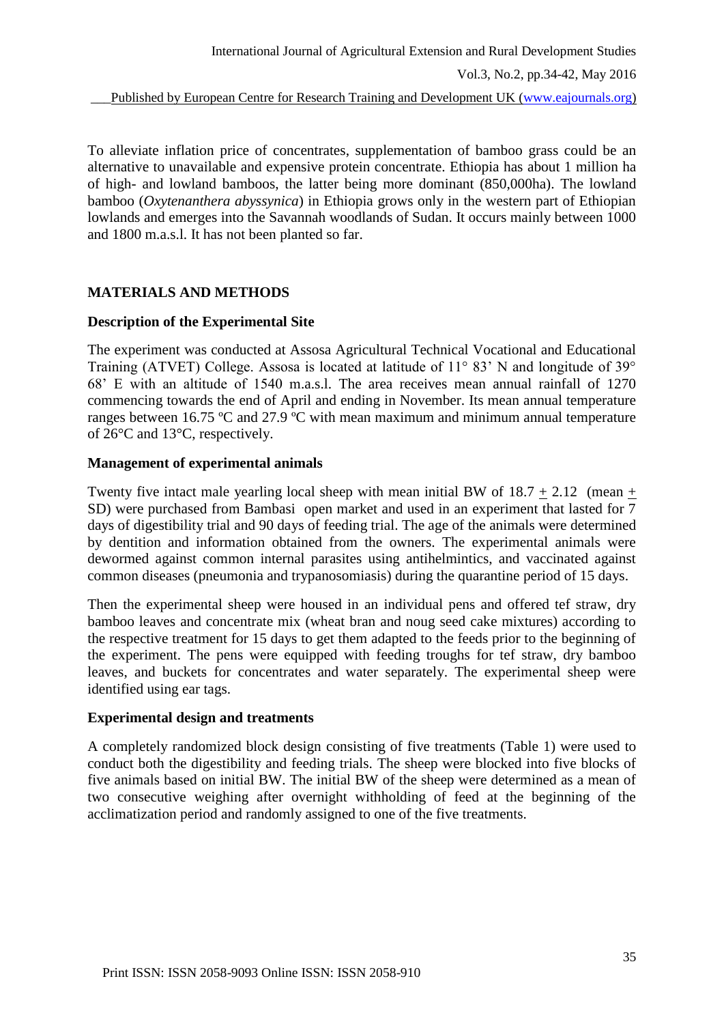To alleviate inflation price of concentrates, supplementation of bamboo grass could be an alternative to unavailable and expensive protein concentrate. Ethiopia has about 1 million ha of high- and lowland bamboos, the latter being more dominant (850,000ha). The lowland bamboo (*Oxytenanthera abyssynica*) in Ethiopia grows only in the western part of Ethiopian lowlands and emerges into the Savannah woodlands of Sudan. It occurs mainly between 1000 and 1800 m.a.s.l. It has not been planted so far.

# **MATERIALS AND METHODS**

### **Description of the Experimental Site**

The experiment was conducted at Assosa Agricultural Technical Vocational and Educational Training (ATVET) College. Assosa is located at latitude of 11° 83' N and longitude of 39° 68' E with an altitude of 1540 m.a.s.l. The area receives mean annual rainfall of 1270 commencing towards the end of April and ending in November. Its mean annual temperature ranges between 16.75 ºC and 27.9 ºC with mean maximum and minimum annual temperature of 26°C and 13°C, respectively.

### **Management of experimental animals**

Twenty five intact male yearling local sheep with mean initial BW of  $18.7 \pm 2.12$  (mean  $\pm$ SD) were purchased from Bambasi open market and used in an experiment that lasted for 7 days of digestibility trial and 90 days of feeding trial. The age of the animals were determined by dentition and information obtained from the owners. The experimental animals were dewormed against common internal parasites using antihelmintics, and vaccinated against common diseases (pneumonia and trypanosomiasis) during the quarantine period of 15 days.

Then the experimental sheep were housed in an individual pens and offered tef straw, dry bamboo leaves and concentrate mix (wheat bran and noug seed cake mixtures) according to the respective treatment for 15 days to get them adapted to the feeds prior to the beginning of the experiment. The pens were equipped with feeding troughs for tef straw, dry bamboo leaves, and buckets for concentrates and water separately. The experimental sheep were identified using ear tags.

#### **Experimental design and treatments**

A completely randomized block design consisting of five treatments (Table 1) were used to conduct both the digestibility and feeding trials. The sheep were blocked into five blocks of five animals based on initial BW. The initial BW of the sheep were determined as a mean of two consecutive weighing after overnight withholding of feed at the beginning of the acclimatization period and randomly assigned to one of the five treatments.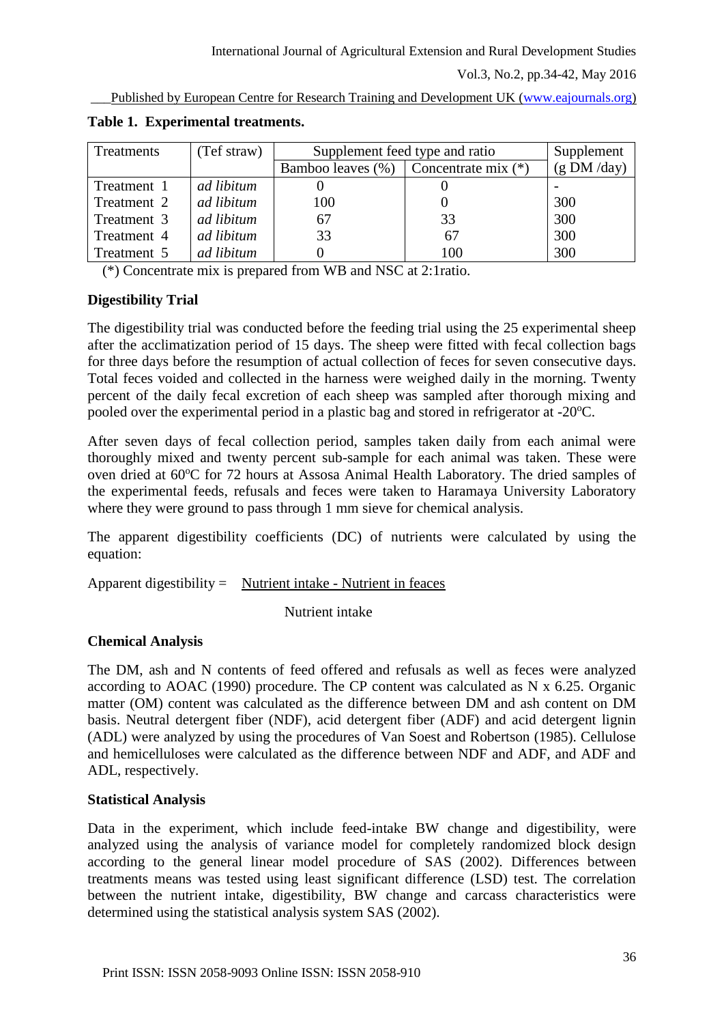Vol.3, No.2, pp.34-42, May 2016

Published by European Centre for Research Training and Development UK [\(www.eajournals.org\)](http://www.eajournals.org/)

| Treatments  | (Tef straw) | Supplement feed type and ratio | Supplement            |            |
|-------------|-------------|--------------------------------|-----------------------|------------|
|             |             | Bamboo leaves (%)              | Concentrate mix $(*)$ | (g DM/day) |
| Treatment 1 | ad libitum  |                                |                       |            |
| Treatment 2 | ad libitum  | 100                            |                       | 300        |
| Treatment 3 | ad libitum  | 67                             | 33                    | 300        |
| Treatment 4 | ad libitum  | 33                             | 67                    | 300        |
| Treatment 5 | ad libitum  |                                | 100                   | 300        |

**Table 1. Experimental treatments.**

(\*) Concentrate mix is prepared from WB and NSC at 2:1ratio.

### **Digestibility Trial**

The digestibility trial was conducted before the feeding trial using the 25 experimental sheep after the acclimatization period of 15 days. The sheep were fitted with fecal collection bags for three days before the resumption of actual collection of feces for seven consecutive days. Total feces voided and collected in the harness were weighed daily in the morning. Twenty percent of the daily fecal excretion of each sheep was sampled after thorough mixing and pooled over the experimental period in a plastic bag and stored in refrigerator at  $-20^{\circ}$ C.

After seven days of fecal collection period, samples taken daily from each animal were thoroughly mixed and twenty percent sub-sample for each animal was taken. These were oven dried at 60°C for 72 hours at Assosa Animal Health Laboratory. The dried samples of the experimental feeds, refusals and feces were taken to Haramaya University Laboratory where they were ground to pass through 1 mm sieve for chemical analysis.

The apparent digestibility coefficients (DC) of nutrients were calculated by using the equation:

Apparent digestibility = Nutrient intake - Nutrient in feaces

Nutrient intake

## **Chemical Analysis**

The DM, ash and N contents of feed offered and refusals as well as feces were analyzed according to AOAC (1990) procedure. The CP content was calculated as N x 6.25. Organic matter (OM) content was calculated as the difference between DM and ash content on DM basis. Neutral detergent fiber (NDF), acid detergent fiber (ADF) and acid detergent lignin (ADL) were analyzed by using the procedures of Van Soest and Robertson (1985). Cellulose and hemicelluloses were calculated as the difference between NDF and ADF, and ADF and ADL, respectively.

#### **Statistical Analysis**

Data in the experiment, which include feed-intake BW change and digestibility, were analyzed using the analysis of variance model for completely randomized block design according to the general linear model procedure of SAS (2002). Differences between treatments means was tested using least significant difference (LSD) test. The correlation between the nutrient intake, digestibility, BW change and carcass characteristics were determined using the statistical analysis system SAS (2002).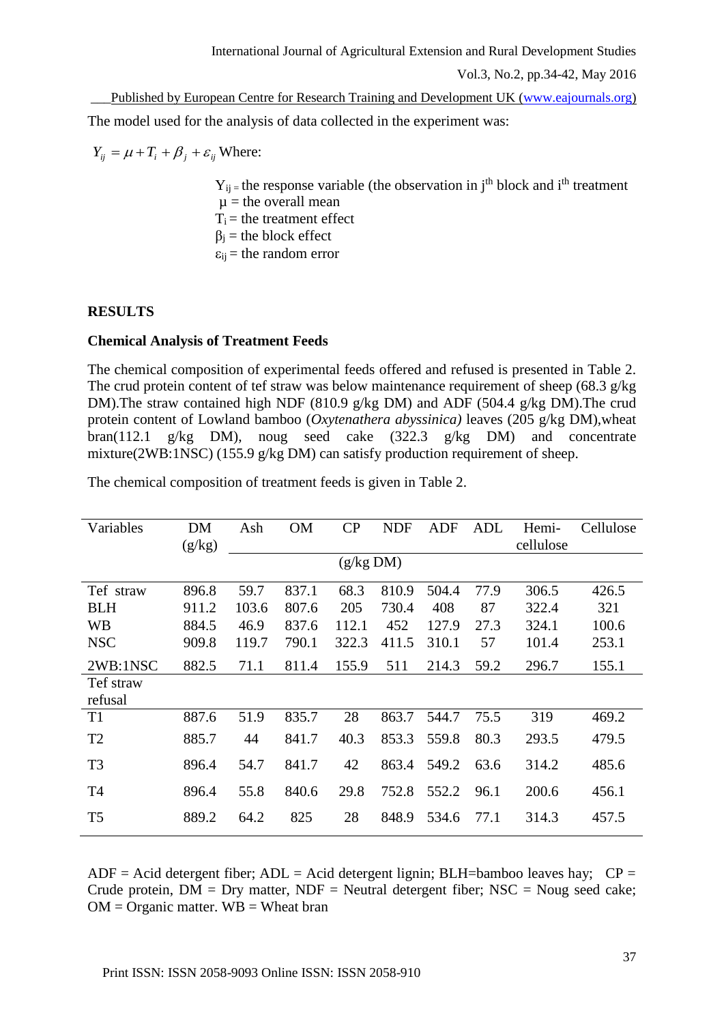Published by European Centre for Research Training and Development UK [\(www.eajournals.org\)](http://www.eajournals.org/) The model used for the analysis of data collected in the experiment was:

 $Y_{ij} = \mu + T_i + \beta_j + \varepsilon_{ij}$  Where:

 $Y_{ij}$  = the response variable (the observation in j<sup>th</sup> block and i<sup>th</sup> treatment  $\mu$  = the overall mean  $T_i$  = the treatment effect  $\beta_i$  = the block effect  $\varepsilon_{ij}$  = the random error

## **RESULTS**

### **Chemical Analysis of Treatment Feeds**

The chemical composition of experimental feeds offered and refused is presented in Table 2. The crud protein content of tef straw was below maintenance requirement of sheep (68.3  $g/kg$ ) DM).The straw contained high NDF (810.9 g/kg DM) and ADF (504.4 g/kg DM).The crud protein content of Lowland bamboo (*Oxytenathera abyssinica)* leaves (205 g/kg DM),wheat bran(112.1 g/kg DM), noug seed cake (322.3 g/kg DM) and concentrate mixture(2WB:1NSC) (155.9 g/kg DM) can satisfy production requirement of sheep.

| Variables      | DM        | Ash   | <b>OM</b> | CP    | <b>NDF</b> | ADF   | ADL  | Hemi-     | Cellulose |  |
|----------------|-----------|-------|-----------|-------|------------|-------|------|-----------|-----------|--|
|                | (g/kg)    |       |           |       |            |       |      | cellulose |           |  |
|                | (g/kg DM) |       |           |       |            |       |      |           |           |  |
| Tef straw      | 896.8     | 59.7  | 837.1     | 68.3  | 810.9      | 504.4 | 77.9 | 306.5     |           |  |
|                |           |       |           |       |            |       |      |           | 426.5     |  |
| <b>BLH</b>     | 911.2     | 103.6 | 807.6     | 205   | 730.4      | 408   | 87   | 322.4     | 321       |  |
| <b>WB</b>      | 884.5     | 46.9  | 837.6     | 112.1 | 452        | 127.9 | 27.3 | 324.1     | 100.6     |  |
| <b>NSC</b>     | 909.8     | 119.7 | 790.1     | 322.3 | 411.5      | 310.1 | 57   | 101.4     | 253.1     |  |
| 2WB:1NSC       | 882.5     | 71.1  | 811.4     | 155.9 | 511        | 214.3 | 59.2 | 296.7     | 155.1     |  |
| Tef straw      |           |       |           |       |            |       |      |           |           |  |
| refusal        |           |       |           |       |            |       |      |           |           |  |
| T <sub>1</sub> | 887.6     | 51.9  | 835.7     | 28    | 863.7      | 544.7 | 75.5 | 319       | 469.2     |  |
| T <sub>2</sub> | 885.7     | 44    | 841.7     | 40.3  | 853.3      | 559.8 | 80.3 | 293.5     | 479.5     |  |
| T <sub>3</sub> | 896.4     | 54.7  | 841.7     | 42    | 863.4      | 549.2 | 63.6 | 314.2     | 485.6     |  |
| T <sub>4</sub> | 896.4     | 55.8  | 840.6     | 29.8  | 752.8      | 552.2 | 96.1 | 200.6     | 456.1     |  |
| T <sub>5</sub> | 889.2     | 64.2  | 825       | 28    | 848.9      | 534.6 | 77.1 | 314.3     | 457.5     |  |

The chemical composition of treatment feeds is given in Table 2.

ADF = Acid detergent fiber; ADL = Acid detergent lignin; BLH=bamboo leaves hay;  $CP =$ Crude protein,  $DM = Dry$  matter,  $NDF = Neutral$  detergent fiber;  $NSC = Noug$  seed cake;  $OM = Organization$  matter.  $WB = Wh$ eat bran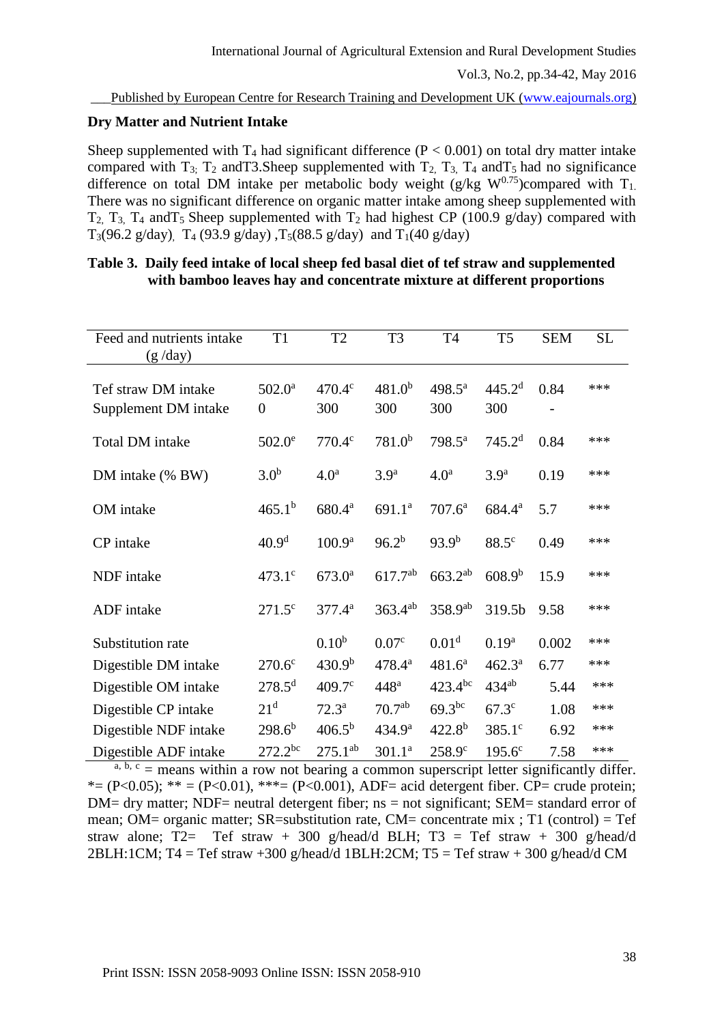### **Dry Matter and Nutrient Intake**

Sheep supplemented with  $T_4$  had significant difference ( $P < 0.001$ ) on total dry matter intake compared with  $T_3$ ;  $T_2$  and T3. Sheep supplemented with  $T_2$ ,  $T_3$ ,  $T_4$  and  $T_5$  had no significance difference on total DM intake per metabolic body weight (g/kg  $W^{0.75}$ )compared with  $T_1$ . There was no significant difference on organic matter intake among sheep supplemented with  $T_2$ ,  $T_3$ ,  $T_4$  and  $T_5$  Sheep supplemented with  $T_2$  had highest CP (100.9 g/day) compared with T<sub>3</sub>(96.2 g/day), T<sub>4</sub> (93.9 g/day), T<sub>5</sub>(88.5 g/day) and T<sub>1</sub>(40 g/day)

| Feed and nutrients intake<br>(g / day)      | T <sub>1</sub>                      | T <sub>2</sub>     | T <sub>3</sub>     | T <sub>4</sub>            | T <sub>5</sub>            | <b>SEM</b> | <b>SL</b> |
|---------------------------------------------|-------------------------------------|--------------------|--------------------|---------------------------|---------------------------|------------|-----------|
| Tef straw DM intake<br>Supplement DM intake | $502.0^{\rm a}$<br>$\boldsymbol{0}$ | 470.4c<br>300      | $481.0^{b}$<br>300 | $498.5^{\text{a}}$<br>300 | 445.2 <sup>d</sup><br>300 | 0.84       | ***       |
| Total DM intake                             | $502.0^{\circ}$                     | 770.4c             | $781.0^{b}$        | 798.5 <sup>a</sup>        | 745.2 <sup>d</sup>        | 0.84       | ***       |
| DM intake (% BW)                            | 3.0 <sup>b</sup>                    | 4.0 <sup>a</sup>   | 3.9 <sup>a</sup>   | 4.0 <sup>a</sup>          | 3.9 <sup>a</sup>          | 0.19       | ***       |
| OM intake                                   | $465.1^{b}$                         | 680.4 <sup>a</sup> | 691.1 <sup>a</sup> | $707.6^a$                 | 684.4 <sup>a</sup>        | 5.7        | ***       |
| CP intake                                   | 40.9 <sup>d</sup>                   | 100.9 <sup>a</sup> | $96.2^{b}$         | $93.9^{b}$                | 88.5 <sup>c</sup>         | 0.49       | ***       |
| NDF intake                                  | $473.1^{\circ}$                     | $673.0^{\rm a}$    | 617.7ab            | $663.2^{ab}$              | $608.9^{b}$               | 15.9       | ***       |
| ADF intake                                  | $271.5^{\circ}$                     | $377.4^a$          | $363.4^{ab}$       | $358.9^{ab}$              | 319.5b                    | 9.58       | ***       |
| Substitution rate                           |                                     | 0.10 <sup>b</sup>  | 0.07 <sup>c</sup>  | 0.01 <sup>d</sup>         | $0.19^{a}$                | 0.002      | ***       |
| Digestible DM intake                        | 270.6 <sup>c</sup>                  | 430.9 <sup>b</sup> | $478.4^{a}$        | $481.6^a$                 | $462.3^{\circ}$           | 6.77       | ***       |
| Digestible OM intake                        | $278.5^{\rm d}$                     | $409.7^{\circ}$    | 448 <sup>a</sup>   | $423.4^{bc}$              | $434^{ab}$                | 5.44       | ***       |
| Digestible CP intake                        | 21 <sup>d</sup>                     | $72.3^{\rm a}$     | 70.7 <sup>ab</sup> | $69.3^{bc}$               | 67.3 <sup>c</sup>         | 1.08       | ***       |
| Digestible NDF intake                       | $298.6^{b}$                         | $406.5^{b}$        | 434.9 <sup>a</sup> | $422.8^{b}$               | $385.1^{\circ}$           | 6.92       | ***       |
| Digestible ADF intake                       | $272.2^{bc}$                        | $275.1^{ab}$       | 301.1 <sup>a</sup> | 258.9 <sup>c</sup>        | $195.6^{\circ}$           | 7.58       | ***       |

### **Table 3. Daily feed intake of local sheep fed basal diet of tef straw and supplemented with bamboo leaves hay and concentrate mixture at different proportions**

 $a, b, c$  = means within a row not bearing a common superscript letter significantly differ. \*= (P<0.05); \*\* = (P<0.01), \*\*\*= (P<0.001), ADF= acid detergent fiber. CP= crude protein;  $DM=$  dry matter; NDF= neutral detergent fiber; ns = not significant; SEM= standard error of mean; OM= organic matter;  $SR$ =substitution rate, CM= concentrate mix ; T1 (control) = Tef straw alone; T2= Tef straw + 300 g/head/d BLH; T3 = Tef straw + 300 g/head/d 2BLH:1CM; T4 = Tef straw +300 g/head/d 1BLH:2CM; T5 = Tef straw + 300 g/head/d CM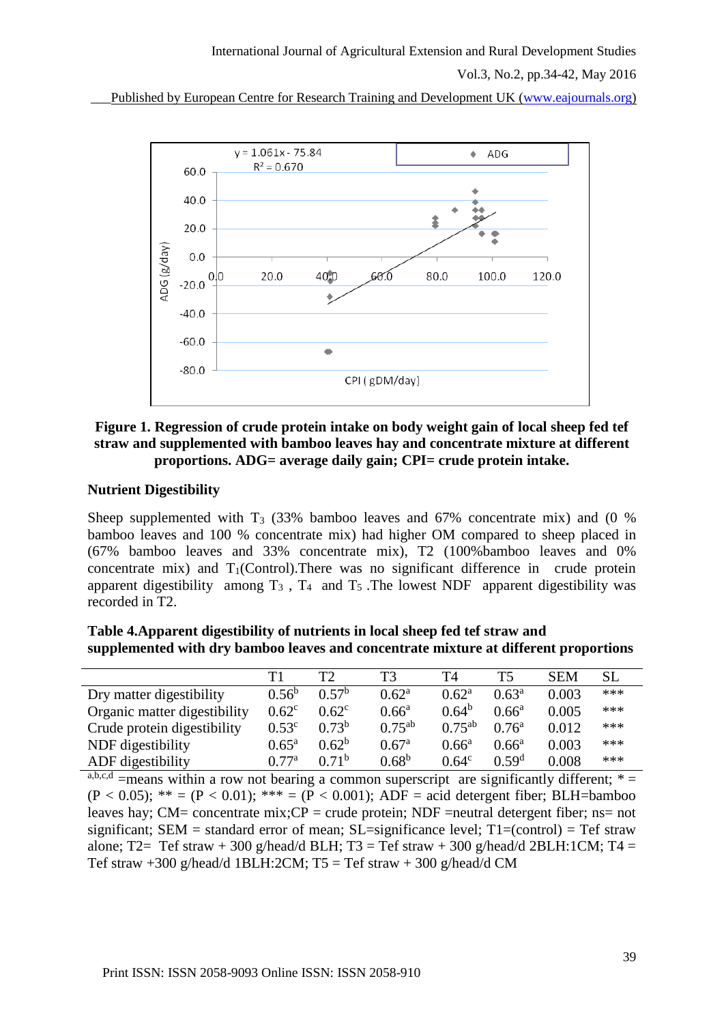Vol.3, No.2, pp.34-42, May 2016

Published by European Centre for Research Training and Development UK [\(www.eajournals.org\)](http://www.eajournals.org/)



### **Figure 1. Regression of crude protein intake on body weight gain of local sheep fed tef straw and supplemented with bamboo leaves hay and concentrate mixture at different proportions. ADG= average daily gain; CPI= crude protein intake.**

### **Nutrient Digestibility**

Sheep supplemented with  $T_3$  (33% bamboo leaves and 67% concentrate mix) and (0 % bamboo leaves and 100 % concentrate mix) had higher OM compared to sheep placed in (67% bamboo leaves and 33% concentrate mix), T2 (100%bamboo leaves and 0% concentrate mix) and  $T_1$ (Control). There was no significant difference in crude protein apparent digestibility among  $T_3$ ,  $T_4$  and  $T_5$ . The lowest NDF apparent digestibility was recorded in T2.

**Table 4.Apparent digestibility of nutrients in local sheep fed tef straw and supplemented with dry bamboo leaves and concentrate mixture at different proportions**

|                              | $\mathbf{T}1$  | T2                | TЗ                | T4             | T <sub>5</sub>    | <b>SEM</b> | <b>SL</b> |
|------------------------------|----------------|-------------------|-------------------|----------------|-------------------|------------|-----------|
| Dry matter digestibility     | $0.56^{b}$     | 0.57 <sup>b</sup> | $0.62^{\rm a}$    | $0.62^{\rm a}$ | $0.63^a$          | 0.003      | ***       |
| Organic matter digestibility | $0.62^{\circ}$ | $0.62^{\circ}$    | $0.66^{\rm a}$    | $0.64^b$       | $0.66^a$          | 0.005      | ***       |
| Crude protein digestibility  | $0.53^{\circ}$ | $0.73^b$          | $0.75^{ab}$       | $0.75^{ab}$    | $0.76^{\rm a}$    | 0.012      | ***       |
| NDF digestibility            | $0.65^{\rm a}$ | $0.62^b$          | 0.67 <sup>a</sup> | $0.66^{\rm a}$ | $0.66^a$          | 0.003      | ***       |
| ADF digestibility            | 0.77a          | 0.71 <sup>b</sup> | $0.68^{\rm b}$    | $0.64^c$       | 0.59 <sup>d</sup> | 0.008      | ***       |

 $a,b,c,d$  =means within a row not bearing a common superscript are significantly different;  $*$  =  $(P < 0.05)$ ; \*\* =  $(P < 0.01)$ ; \*\*\* =  $(P < 0.001)$ ; ADF = acid detergent fiber; BLH=bamboo leaves hay; CM= concentrate mix;  $CP =$  crude protein; NDF = neutral detergent fiber; ns= not significant;  $SEM =$  standard error of mean;  $SL =$ significance level;  $T1 = (control) = Tef$  straw alone; T2= Tef straw + 300 g/head/d BLH; T3 = Tef straw + 300 g/head/d 2BLH:1CM; T4 = Tef straw +300 g/head/d 1BLH:2CM;  $T5 = Tef$  straw + 300 g/head/d CM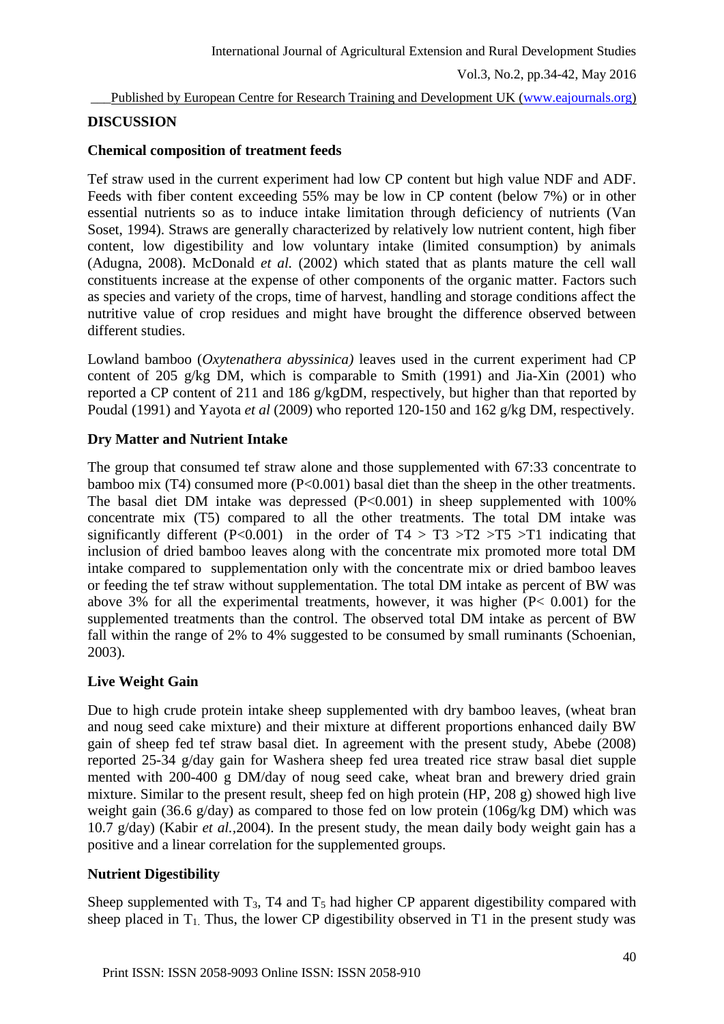Vol.3, No.2, pp.34-42, May 2016

Published by European Centre for Research Training and Development UK [\(www.eajournals.org\)](http://www.eajournals.org/)

### **DISCUSSION**

#### **Chemical composition of treatment feeds**

Tef straw used in the current experiment had low CP content but high value NDF and ADF. Feeds with fiber content exceeding 55% may be low in CP content (below 7%) or in other essential nutrients so as to induce intake limitation through deficiency of nutrients (Van Soset, 1994). Straws are generally characterized by relatively low nutrient content, high fiber content, low digestibility and low voluntary intake (limited consumption) by animals (Adugna, 2008). McDonald *et al.* (2002) which stated that as plants mature the cell wall constituents increase at the expense of other components of the organic matter. Factors such as species and variety of the crops, time of harvest, handling and storage conditions affect the nutritive value of crop residues and might have brought the difference observed between different studies.

Lowland bamboo (*Oxytenathera abyssinica)* leaves used in the current experiment had CP content of 205 g/kg DM, which is comparable to Smith (1991) and Jia-Xin (2001) who reported a CP content of 211 and 186 g/kgDM, respectively, but higher than that reported by Poudal (1991) and Yayota *et al* (2009) who reported 120-150 and 162 g/kg DM, respectively.

## **Dry Matter and Nutrient Intake**

The group that consumed tef straw alone and those supplemented with 67:33 concentrate to bamboo mix (T4) consumed more (P<0.001) basal diet than the sheep in the other treatments. The basal diet DM intake was depressed (P<0.001) in sheep supplemented with 100% concentrate mix (T5) compared to all the other treatments. The total DM intake was significantly different (P<0.001) in the order of  $T4 > T3 > T2 > T5 > T1$  indicating that inclusion of dried bamboo leaves along with the concentrate mix promoted more total DM intake compared to supplementation only with the concentrate mix or dried bamboo leaves or feeding the tef straw without supplementation. The total DM intake as percent of BW was above 3% for all the experimental treatments, however, it was higher (P< 0.001) for the supplemented treatments than the control. The observed total DM intake as percent of BW fall within the range of 2% to 4% suggested to be consumed by small ruminants (Schoenian, 2003).

## **Live Weight Gain**

Due to high crude protein intake sheep supplemented with dry bamboo leaves, (wheat bran and noug seed cake mixture) and their mixture at different proportions enhanced daily BW gain of sheep fed tef straw basal diet. In agreement with the present study, Abebe (2008) reported 25-34 g/day gain for Washera sheep fed urea treated rice straw basal diet supple mented with 200-400 g DM/day of noug seed cake, wheat bran and brewery dried grain mixture. Similar to the present result, sheep fed on high protein (HP, 208 g) showed high live weight gain (36.6 g/day) as compared to those fed on low protein (106g/kg DM) which was 10.7 g/day) (Kabir *et al.,*2004). In the present study, the mean daily body weight gain has a positive and a linear correlation for the supplemented groups.

#### **Nutrient Digestibility**

Sheep supplemented with  $T_3$ , T4 and  $T_5$  had higher CP apparent digestibility compared with sheep placed in  $T_1$ . Thus, the lower CP digestibility observed in T1 in the present study was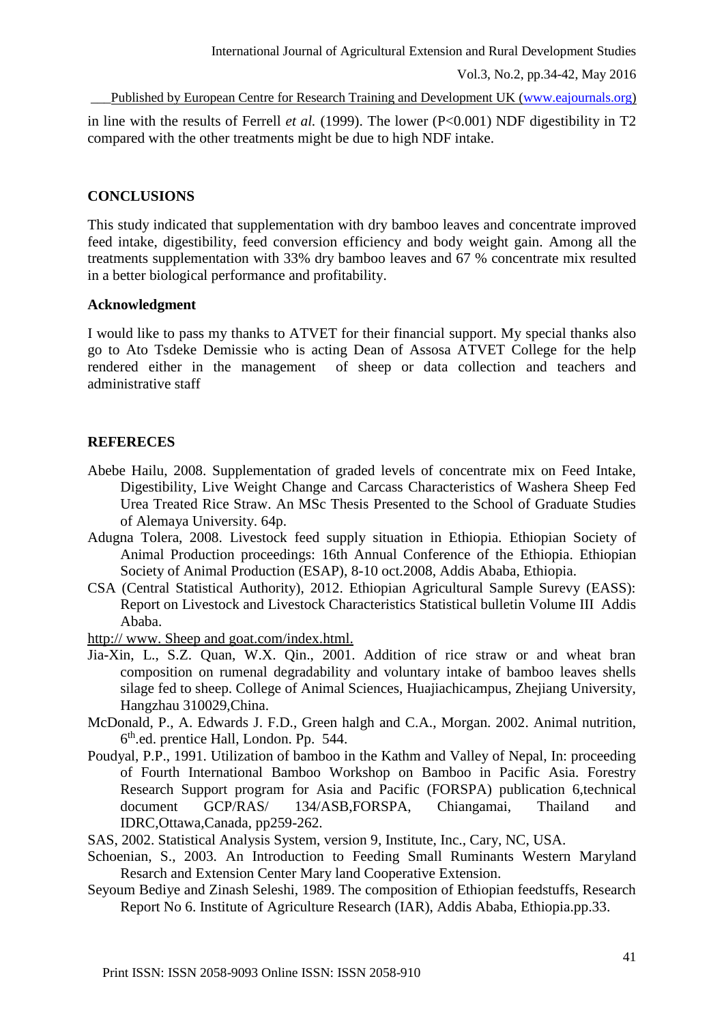in line with the results of Ferrell *et al.* (1999). The lower (P<0.001) NDF digestibility in T2 compared with the other treatments might be due to high NDF intake.

#### **CONCLUSIONS**

This study indicated that supplementation with dry bamboo leaves and concentrate improved feed intake, digestibility, feed conversion efficiency and body weight gain. Among all the treatments supplementation with 33% dry bamboo leaves and 67 % concentrate mix resulted in a better biological performance and profitability.

#### **Acknowledgment**

I would like to pass my thanks to ATVET for their financial support. My special thanks also go to Ato Tsdeke Demissie who is acting Dean of Assosa ATVET College for the help rendered either in the management of sheep or data collection and teachers and administrative staff

#### **REFERECES**

- Abebe Hailu, 2008. Supplementation of graded levels of concentrate mix on Feed Intake, Digestibility, Live Weight Change and Carcass Characteristics of Washera Sheep Fed Urea Treated Rice Straw. An MSc Thesis Presented to the School of Graduate Studies of Alemaya University. 64p.
- Adugna Tolera, 2008. Livestock feed supply situation in Ethiopia. Ethiopian Society of Animal Production proceedings: 16th Annual Conference of the Ethiopia. Ethiopian Society of Animal Production (ESAP), 8-10 oct.2008, Addis Ababa, Ethiopia.
- CSA (Central Statistical Authority), 2012. Ethiopian Agricultural Sample Surevy (EASS): Report on Livestock and Livestock Characteristics Statistical bulletin Volume III Addis Ababa.

http:// www. Sheep and goat.com/index.html.

- Jia-Xin, L., S.Z. Quan, W.X. Qin., 2001. Addition of rice straw or and wheat bran composition on rumenal degradability and voluntary intake of bamboo leaves shells silage fed to sheep. College of Animal Sciences, Huajiachicampus, Zhejiang University, Hangzhau 310029,China.
- McDonald, P., A. Edwards J. F.D., Green halgh and C.A., Morgan. 2002. Animal nutrition, 6 th.ed. prentice Hall, London. Pp. 544.
- Poudyal, P.P., 1991. Utilization of bamboo in the Kathm and Valley of Nepal, In: proceeding of Fourth International Bamboo Workshop on Bamboo in Pacific Asia. Forestry Research Support program for Asia and Pacific (FORSPA) publication 6,technical document GCP/RAS/ 134/ASB,FORSPA, Chiangamai, Thailand and IDRC,Ottawa,Canada, pp259-262.
- SAS, 2002. Statistical Analysis System, version 9, Institute, Inc., Cary, NC, USA.
- Schoenian, S., 2003. An Introduction to Feeding Small Ruminants Western Maryland Resarch and Extension Center Mary land Cooperative Extension.
- Seyoum Bediye and Zinash Seleshi, 1989. The composition of Ethiopian feedstuffs, Research Report No 6. Institute of Agriculture Research (IAR), Addis Ababa, Ethiopia.pp.33.